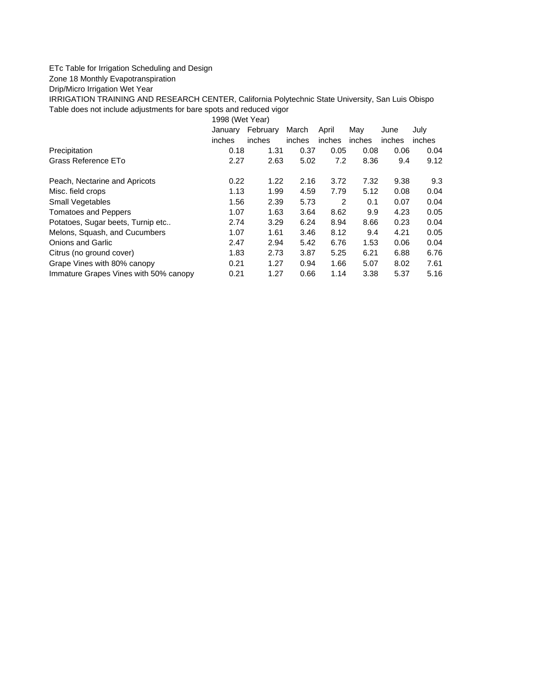## ETc Table for Irrigation Scheduling and Design

## Zone 18 Monthly Evapotranspiration

Drip/Micro Irrigation Wet Year

IRRIGATION TRAINING AND RESEARCH CENTER, California Polytechnic State University, San Luis Obispo Table does not include adjustments for bare spots and reduced vigor

1998 (Wet Year)

|                                       | January | February | March  | April  | May    | June   | July   |
|---------------------------------------|---------|----------|--------|--------|--------|--------|--------|
|                                       | inches  | inches   | inches | inches | inches | inches | inches |
| Precipitation                         | 0.18    | 1.31     | 0.37   | 0.05   | 0.08   | 0.06   | 0.04   |
| Grass Reference ETo                   | 2.27    | 2.63     | 5.02   | 7.2    | 8.36   | 9.4    | 9.12   |
| Peach, Nectarine and Apricots         | 0.22    | 1.22     | 2.16   | 3.72   | 7.32   | 9.38   | 9.3    |
| Misc. field crops                     | 1.13    | 1.99     | 4.59   | 7.79   | 5.12   | 0.08   | 0.04   |
| Small Vegetables                      | 1.56    | 2.39     | 5.73   | 2      | 0.1    | 0.07   | 0.04   |
| <b>Tomatoes and Peppers</b>           | 1.07    | 1.63     | 3.64   | 8.62   | 9.9    | 4.23   | 0.05   |
| Potatoes, Sugar beets, Turnip etc     | 2.74    | 3.29     | 6.24   | 8.94   | 8.66   | 0.23   | 0.04   |
| Melons, Squash, and Cucumbers         | 1.07    | 1.61     | 3.46   | 8.12   | 9.4    | 4.21   | 0.05   |
| <b>Onions and Garlic</b>              | 2.47    | 2.94     | 5.42   | 6.76   | 1.53   | 0.06   | 0.04   |
| Citrus (no ground cover)              | 1.83    | 2.73     | 3.87   | 5.25   | 6.21   | 6.88   | 6.76   |
| Grape Vines with 80% canopy           | 0.21    | 1.27     | 0.94   | 1.66   | 5.07   | 8.02   | 7.61   |
| Immature Grapes Vines with 50% canopy | 0.21    | 1.27     | 0.66   | 1.14   | 3.38   | 5.37   | 5.16   |